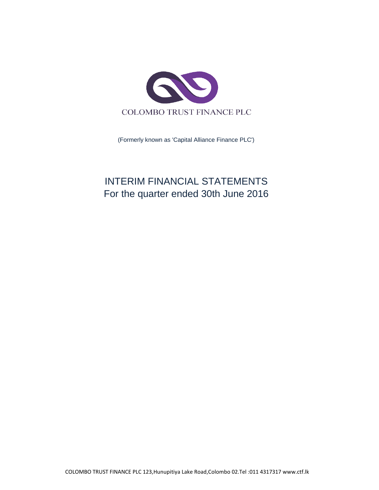

(Formerly known as 'Capital Alliance Finance PLC')

# INTERIM FINANCIAL STATEMENTS For the quarter ended 30th June 2016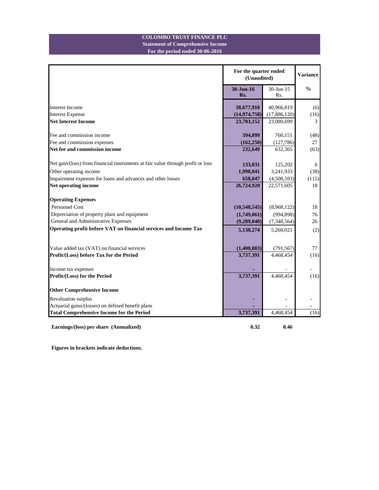## **For the period ended 30-06-2016 Statement of Comprehensive Income COLOMBO TRUST FINANCE PLC**

|                                                                                 |                  | For the quarter ended<br>(Unaudited) |               |  |
|---------------------------------------------------------------------------------|------------------|--------------------------------------|---------------|--|
|                                                                                 | 30-Jun-16<br>Rs. | $30$ -Jun-15<br>Rs.                  | $\frac{0}{0}$ |  |
| <b>Interest Income</b>                                                          | 38,677,910       | 40,966,819                           | (6)           |  |
| <b>Interest Expense</b>                                                         | (14, 974, 758)   | (17,886,120)                         | (16)          |  |
| <b>Net Interest Income</b>                                                      | 23,703,152       | 23,080,699                           | 3             |  |
| Fee and commission income                                                       | 394,899          | 760,151                              | (48)          |  |
| Fee and commission expenses                                                     | (162, 250)       | (127,786)                            | 27            |  |
| Net fee and commission income                                                   | 232,649          | 632,365                              | (63)          |  |
| Net gain/(loss) from financial instruments at fair value through profit or loss | 133,031          | 125,202                              | 6             |  |
| Other operating income                                                          | 1,998,041        | 3,241,933                            | (38)          |  |
| Impairment expenses for loans and advances and other losses                     | 658,047          | (4,508,593)                          | (115)         |  |
| Net operating income                                                            | 26,724,920       | 22,571,605                           | 18            |  |
| <b>Operating Expenses</b>                                                       |                  |                                      |               |  |
| Personnel Cost                                                                  | (10,548,545)     | (8,968,122)                          | 18            |  |
| Depreciation of property plant and equipment                                    | (1,749,061)      | (994, 898)                           | 76            |  |
| General and Administrative Expenses                                             | (9,289,040)      | (7,348,564)                          | 26            |  |
| Operating profit before VAT on financial services and Income Tax                | 5,138,274        | 5,260,021                            | (2)           |  |
|                                                                                 |                  |                                      |               |  |
| Value added tax (VAT) on financial services                                     | (1,400,883)      | (791, 567)                           | 77            |  |
| Profit/(Loss) before Tax for the Period                                         | 3,737,391        | 4,468,454                            | (16)          |  |
| Income tax expenses                                                             |                  |                                      |               |  |
| Profit/(Loss) for the Period                                                    | 3,737,391        | 4,468,454                            | (16)          |  |
| <b>Other Comprehensive Income</b>                                               |                  |                                      |               |  |
| Revaluation surplus                                                             |                  |                                      |               |  |
| Actuarial gains/(losses) on defined benefit plans                               |                  |                                      |               |  |
| <b>Total Comprehensive Income for the Period</b>                                | 3,737,391        | 4,468,454                            | (16)          |  |

Earnings/(loss) per share (Annualized) 0.32 0.46

**Figures in brackets indicate deductions.**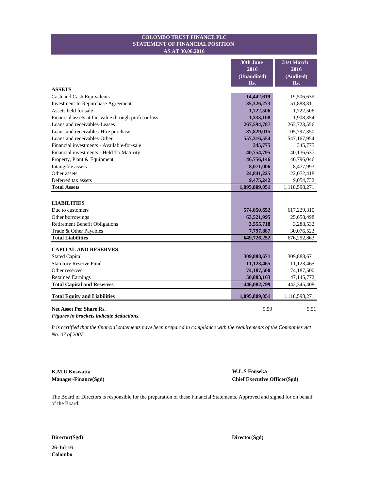### **STATEMENT OF FINANCIAL POSITION COLOMBO TRUST FINANCE PLC AS AT 30.06.2016**

|                                                       | 30th June<br>2016<br>(Unaudited) | 31st March<br>2016<br>(Audited) |
|-------------------------------------------------------|----------------------------------|---------------------------------|
| <b>ASSETS</b>                                         | Rs.                              | Rs.                             |
| Cash and Cash Equivalents                             | 14,442,619                       | 19,506,639                      |
| Investment In Repurchase Agreement                    | 35,326,273                       | 51,888,311                      |
| Assets held for sale                                  | 1,722,506                        | 1,722,506                       |
| Financial assets at fair value through profit or loss | 1,333,108                        | 1,908,354                       |
| Loans and receivables-Leases                          | 267,594,787                      | 263,723,556                     |
| Loans and receivables-Hire purchase                   | 87,829,015                       | 105,797,350                     |
| Loans and receivables-Other                           | 557,316,554                      | 547,167,954                     |
| Financial investments - Available-for-sale            | 345,775                          | 345,775                         |
| Financial investments - Held To Maturity              | 40,754,795                       | 40,136,637                      |
| Property, Plant & Equipment                           | 46,756,146                       | 46,796,046                      |
| Intangible assets                                     | 8,071,006                        | 8,477,993                       |
| Other assets                                          | 24,841,225                       | 22,072,418                      |
| Deferred tax assets                                   | 9,475,242                        | 9,054,732                       |
| <b>Total Assets</b>                                   | 1,095,809,051                    | 1,118,598,271                   |
| <b>LIABILITIES</b>                                    |                                  |                                 |
| Due to customers                                      | 574,850,652                      | 617,229,310                     |
| Other borrowings                                      | 63,521,995                       | 25,658,498                      |
| <b>Retirement Benefit Obligations</b>                 | 3,555,718                        | 3,288,532                       |
| Trade & Other Payables                                | 7,797,887                        | 30,076,523                      |
| <b>Total Liabilities</b>                              | 649,726,252                      | 676,252,863                     |
|                                                       |                                  |                                 |
| <b>CAPITAL AND RESERVES</b>                           |                                  |                                 |
| <b>Stated Capital</b>                                 | 309,888,671                      | 309,888,671                     |
| <b>Statutory Reserve Fund</b>                         | 11,123,465                       | 11,123,465                      |
| Other reserves                                        | 74,187,500                       | 74,187,500                      |
| <b>Retained Earnings</b>                              | 50,883,163                       | 47,145,772                      |
| <b>Total Capital and Reserves</b>                     | 446,082,799                      | 442,345,408                     |
| <b>Total Equity and Liabilities</b>                   | 1,095,809,051                    | 1,118,598,271                   |
| <b>Net Asset Per Share Rs.</b>                        | 9.59                             | 9.51                            |

*Figures in brackets indicate deductions.*

*It is certified that the financial statements have been prepared in compliance with the requirements of the Companies Act No. 07 of 2007.*

**K.M.U.Koswatta W.L.S Fonseka**

**Manager-Finance(Sgd) Chief Executive Officer(Sgd)**

The Board of Directors is responsible for the preparation of these Financial Statements. Approved and signed for on behalf of the Board:

**Director(Sgd) Director(Sgd)**

**26-Jul-16 Colombo**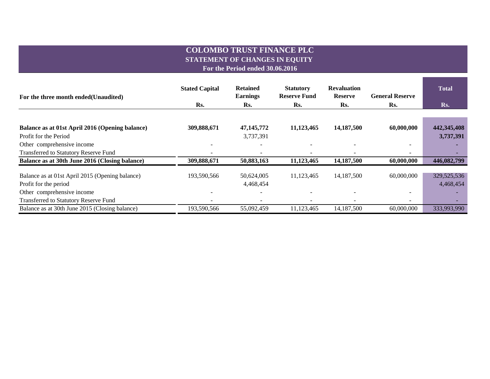# **COLOMBO TRUST FINANCE PLC STATEMENT OF CHANGES IN EQUITY**

**For the Period ended 30.06.2016**

| For the three month ended (Unaudited)           | <b>Stated Capital</b>    | <b>Retained</b><br><b>Earnings</b> | <b>Statutory</b><br><b>Reserve Fund</b> | <b>Revaluation</b><br><b>Reserve</b> | <b>General Reserve</b>   | <b>Total</b> |
|-------------------------------------------------|--------------------------|------------------------------------|-----------------------------------------|--------------------------------------|--------------------------|--------------|
|                                                 | Rs.                      | Rs.                                | Rs.                                     | Rs.                                  | Rs.                      | Rs.          |
|                                                 |                          |                                    |                                         |                                      |                          |              |
| Balance as at 01st April 2016 (Opening balance) | 309,888,671              | 47, 145, 772                       | 11,123,465                              | 14,187,500                           | 60,000,000               | 442,345,408  |
| Profit for the Period                           |                          | 3,737,391                          |                                         |                                      |                          | 3,737,391    |
| Other comprehensive income                      |                          | $\overline{\phantom{a}}$           |                                         |                                      |                          |              |
| <b>Transferred to Statutory Reserve Fund</b>    | $\overline{\phantom{0}}$ | ۰                                  |                                         |                                      | $\overline{\phantom{m}}$ |              |
| Balance as at 30th June 2016 (Closing balance)  | 309,888,671              | 50,883,163                         | 11,123,465                              | 14,187,500                           | 60,000,000               | 446,082,799  |
|                                                 |                          |                                    |                                         |                                      |                          |              |
| Balance as at 01st April 2015 (Opening balance) | 193,590,566              | 50,624,005                         | 11,123,465                              | 14,187,500                           | 60,000,000               | 329,525,536  |
| Profit for the period                           |                          | 4,468,454                          |                                         |                                      |                          | 4,468,454    |
| Other comprehensive income                      |                          |                                    |                                         |                                      |                          |              |
| <b>Transferred to Statutory Reserve Fund</b>    |                          |                                    |                                         |                                      | $\overline{\phantom{0}}$ |              |
| Balance as at 30th June 2015 (Closing balance)  | 193,590,566              | 55,092,459                         | 11,123,465                              | 14,187,500                           | 60,000,000               | 333,993,990  |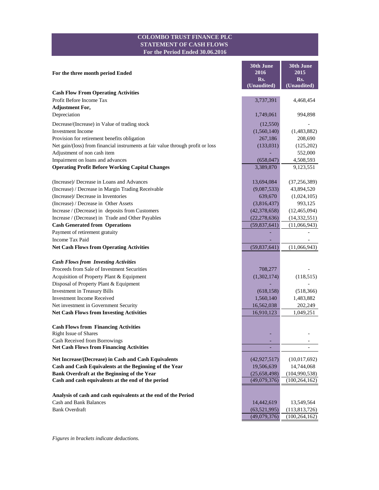## **COLOMBO TRUST FINANCE PLC STATEMENT OF CASH FLOWS For the Period Ended 30.06.2016**

a a

| For the three month period Ended                                                | 30th June<br>2016            | 30th June<br>2015                  |
|---------------------------------------------------------------------------------|------------------------------|------------------------------------|
|                                                                                 | Rs.                          | Rs.                                |
|                                                                                 | (Unaudited)                  | (Unaudited)                        |
| <b>Cash Flow From Operating Activities</b>                                      |                              |                                    |
| Profit Before Income Tax                                                        | 3,737,391                    | 4,468,454                          |
| <b>Adjustment For,</b>                                                          |                              |                                    |
| Depreciation                                                                    | 1,749,061                    | 994,898                            |
| Decrease/(Increase) in Value of trading stock                                   | (12, 550)                    |                                    |
| <b>Investment Income</b>                                                        | (1,560,140)                  | (1,483,882)                        |
| Provision for retirement benefits obligation                                    | 267,186                      | 208,690                            |
| Net gain/(loss) from financial instruments at fair value through profit or loss | (133, 031)                   | (125,202)                          |
| Adjustment of non cash item                                                     |                              | 552,000                            |
| Impairment on loans and advances                                                | (658, 047)                   | 4,508,593                          |
| <b>Operating Profit Before Working Capital Changes</b>                          | 3,389,870                    | 9,123,551                          |
| (Increase)/ Decrease in Loans and Advances                                      | 13,694,084                   | (37, 256, 389)                     |
| (Increase) / Decrease in Margin Trading Receivable                              | (9,087,533)                  | 43,894,520                         |
| (Increase)/ Decrease in Inventories                                             | 639,670                      | (1,024,105)                        |
| (Increase) / Decrease in Other Assets                                           | (3,816,437)                  | 993,125                            |
| Increase / (Decrease) in deposits from Customers                                | (42, 378, 658)               | (12, 465, 094)                     |
| Increase / (Decrease) in Trade and Other Payables                               | (22, 278, 636)               | (14, 332, 551)                     |
| <b>Cash Generated from Operations</b>                                           | (59,837,641)                 | (11,066,943)                       |
| Payment of retirement gratuity                                                  |                              |                                    |
| <b>Income Tax Paid</b>                                                          |                              |                                    |
| <b>Net Cash Flows from Operating Activities</b>                                 | (59,837,641)                 | (11,066,943)                       |
| <b>Cash Flows from Investing Activities</b>                                     |                              |                                    |
| Proceeds from Sale of Investment Securities                                     | 708,277                      |                                    |
| Acquisition of Property Plant & Equipment                                       | (1,302,174)                  | (118, 515)                         |
| Disposal of Property Plant & Equipment                                          |                              |                                    |
| Investment in Treasury Bills                                                    | (618, 158)                   | (518, 366)                         |
| <b>Investment Income Received</b>                                               | 1,560,140                    | 1,483,882                          |
| Net investment in Government Security                                           | 16,562,038                   | 202,249                            |
| <b>Net Cash Flows from Investing Activities</b>                                 | 16,910,123                   | 1,049,251                          |
|                                                                                 |                              |                                    |
| <b>Cash Flows from Financing Activities</b><br>Right Issue of Shares            |                              |                                    |
| Cash Received from Borrowings                                                   |                              |                                    |
| <b>Net Cash Flows from Financing Activities</b>                                 |                              |                                    |
| Net Increase/(Decrease) in Cash and Cash Equivalents                            | (42, 927, 517)               | (10,017,692)                       |
| Cash and Cash Equivalents at the Beginning of the Year                          | 19,506,639                   | 14,744,068                         |
| Bank Overdraft at the Beginning of the Year                                     | (25,658,498)                 | (104,990,538)                      |
| Cash and cash equivalents at the end of the period                              | (49,079,376)                 | (100, 264, 162)                    |
|                                                                                 |                              |                                    |
| Analysis of cash and cash equivalents at the end of the Period                  |                              |                                    |
| <b>Cash and Bank Balances</b><br><b>Bank Overdraft</b>                          | 14,442,619                   | 13,549,564                         |
|                                                                                 | (63,521,995)<br>(49,079,376) | (113, 813, 726)<br>(100, 264, 162) |
|                                                                                 |                              |                                    |

*Figures in brackets indicate deductions.*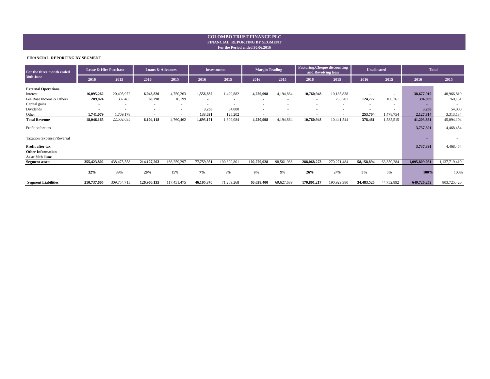#### **For the Period ended 30.06.2016 FINANCIAL REPORTING BY SEGMENT COLOMBO TRUST FINANCE PLC**

#### **FINANCIAL REPORTING BY SEGMENT**

| For the three month ended   | Lease & Hire Purchase    |                          | <b>Loans &amp; Advances</b> |                          | <b>Investments</b>       |                          | <b>Margin Trading</b>    |                          | <b>Factoring, Cheque discounting</b><br>and Revolving loan |                          | <b>Unallocated</b>       |                          | <b>Total</b>  |               |
|-----------------------------|--------------------------|--------------------------|-----------------------------|--------------------------|--------------------------|--------------------------|--------------------------|--------------------------|------------------------------------------------------------|--------------------------|--------------------------|--------------------------|---------------|---------------|
| 30th June                   | 2016                     | 2015                     | 2016                        | 2015                     | 2016                     | 2015                     | 2016                     | 2015                     | 2016                                                       | 2015                     | 2016                     | 2015                     | 2016          | 2015          |
| <b>External Operations</b>  |                          |                          |                             |                          |                          |                          |                          |                          |                                                            |                          |                          |                          |               |               |
| Interest                    | 16,095,262               | 20,405,972               | 6,043,820                   | 4,750,263                | 1,556,882                | 1,429,882                | 4,220,998                | 4,194,864                | 10,760,948                                                 | 10,185,838               | $\overline{\phantom{a}}$ | $\overline{\phantom{a}}$ | 38,677,910    | 40,966,819    |
| Fee Base Income & Others    | 209,824                  | 387,485                  | 60,298                      | 10,199                   | $\blacksquare$           | $\sim$                   | $\overline{\phantom{a}}$ | $\overline{\phantom{a}}$ | $\blacksquare$                                             | 255,707                  | 124,777                  | 106,761                  | 394,899       | 760,151       |
| Capital gains               | $\overline{\phantom{a}}$ |                          | $\blacksquare$              | $\overline{\phantom{a}}$ | $\overline{\phantom{a}}$ | $\overline{\phantom{a}}$ | $\overline{\phantom{a}}$ |                          | $\overline{\phantom{a}}$                                   | $\overline{\phantom{a}}$ | $\overline{\phantom{a}}$ |                          | ۰.            |               |
| Dividends                   |                          | $\overline{\phantom{a}}$ |                             | $\overline{\phantom{a}}$ | 3,258                    | 54,000                   | $\overline{\phantom{a}}$ |                          | $\overline{\phantom{a}}$                                   | $\overline{\phantom{a}}$ |                          |                          | 3,258         | 54,000        |
| Other                       | 1,741,079                | 1,709,178                |                             |                          | 133,031                  | 125,202                  | $\blacksquare$           |                          |                                                            | ٠                        | 253,704                  | 1,478,754                | 2,127,814     | 3,313,134     |
| <b>Total Revenue</b>        | 18,046,165               | 22,502,635               | 6,104,118                   | 4,760,462                | 1,693,171                | 1,609,084                | 4,220,998                | 4,194,864                | 10,760,948                                                 | 10,441,544               | 378,481                  | 1,585,515                | 41,203,881    | 45,094,104    |
| Profit before tax           |                          |                          |                             |                          |                          |                          |                          |                          |                                                            |                          |                          |                          | 3,737,391     | 4,468,454     |
| Taxation (expense)/Reversal |                          |                          |                             |                          |                          |                          |                          |                          |                                                            |                          |                          |                          |               |               |
| Profit after tax            |                          |                          |                             |                          |                          |                          |                          |                          |                                                            |                          |                          |                          | 3,737,391     | 4,468,454     |
| <b>Other Information</b>    |                          |                          |                             |                          |                          |                          |                          |                          |                                                            |                          |                          |                          |               |               |
| As at 30th June             |                          |                          |                             |                          |                          |                          |                          |                          |                                                            |                          |                          |                          |               |               |
| <b>Segment assets</b>       | 355,423,802              | 438,475,558              | 214, 127, 203               | 166,259,297              | 77,759,951               | 100,800,801              | 102,270,928              | 98,561,986               | 288,068,273                                                | 270, 271, 484            | 58,158,894               | 63,350,284               | 1,095,809,051 | 1,137,719,410 |
|                             | 32%                      | 39%                      | 20%                         | 15%                      | 7%                       | 9%                       | 9%                       | 9%                       | 26%                                                        | 24%                      | 5%                       | 6%                       | 100%          | 100%          |
| <b>Segment Liabilities</b>  | 210,737,605              | 309,754,715              | 126,960,135                 | 117,451,475              | 46,105,370               | 71,209,268               | 60,638,400               | 69,627,689               | 170,801,217                                                | 190,929,380              | 34,483,526               | 44,752,892               | 649,726,252   | 803,725,420   |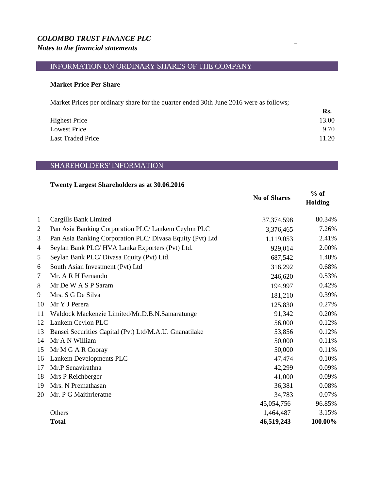## *COLOMBO TRUST FINANCE PLC Notes to the financial statements*

## INFORMATION ON ORDINARY SHARES OF THE COMPANY

## **Market Price Per Share**

Market Prices per ordinary share for the quarter ended 30th June 2016 were as follows;

|                          | Rs.   |
|--------------------------|-------|
| <b>Highest Price</b>     | 13.00 |
| Lowest Price             | 9.70  |
| <b>Last Traded Price</b> | 11.20 |

## SHAREHOLDERS' INFORMATION

## **Twenty Largest Shareholders as at 30.06.2016**

|                |                                                           | <b>No of Shares</b> | $%$ of<br><b>Holding</b> |
|----------------|-----------------------------------------------------------|---------------------|--------------------------|
| $\mathbf{1}$   | Cargills Bank Limited                                     | 37, 374, 598        | 80.34%                   |
| $\overline{2}$ | Pan Asia Banking Corporation PLC/ Lankem Ceylon PLC       | 3,376,465           | 7.26%                    |
| 3              | Pan Asia Banking Corporation PLC/ Divasa Equity (Pvt) Ltd | 1,119,053           | 2.41%                    |
| $\overline{4}$ | Seylan Bank PLC/HVA Lanka Exporters (Pvt) Ltd.            | 929,014             | 2.00%                    |
| 5              | Seylan Bank PLC/Divasa Equity (Pvt) Ltd.                  | 687,542             | 1.48%                    |
| 6              | South Asian Investment (Pvt) Ltd                          | 316,292             | 0.68%                    |
| $\tau$         | Mr. A R H Fernando                                        | 246,620             | 0.53%                    |
| 8              | Mr De W A S P Saram                                       | 194,997             | 0.42%                    |
| 9              | Mrs. S G De Silva                                         | 181,210             | 0.39%                    |
| 10             | Mr Y J Perera                                             | 125,830             | 0.27%                    |
| 11             | Waldock Mackenzie Limited/Mr.D.B.N.Samaratunge            | 91,342              | 0.20%                    |
| 12             | Lankem Ceylon PLC                                         | 56,000              | 0.12%                    |
| 13             | Bansei Securities Capital (Pvt) Ltd/M.A.U. Gnanatilake    | 53,856              | 0.12%                    |
| 14             | Mr A N William                                            | 50,000              | 0.11%                    |
| 15             | Mr M G A R Cooray                                         | 50,000              | 0.11%                    |
| 16             | Lankem Developments PLC                                   | 47,474              | 0.10%                    |
| 17             | Mr.P Senavirathna                                         | 42,299              | 0.09%                    |
| 18             | Mrs P Reichberger                                         | 41,000              | 0.09%                    |
| 19             | Mrs. N Premathasan                                        | 36,381              | 0.08%                    |
| 20             | Mr. P G Maithrieratne                                     | 34,783              | 0.07%                    |
|                |                                                           | 45,054,756          | 96.85%                   |
|                | Others                                                    | 1,464,487           | 3.15%                    |
|                | <b>Total</b>                                              | 46,519,243          | 100.00%                  |